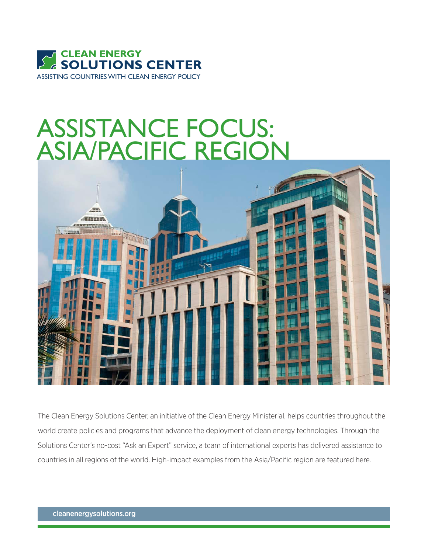

# ASSISTANCE FOCUS: ASIA/PACIFIC REGION



The Clean Energy Solutions Center, an initiative of the Clean Energy Ministerial, helps countries throughout the world create policies and programs that advance the deployment of clean energy technologies. Through the Solutions Center's no-cost "Ask an Expert" service, a team of international experts has delivered assistance to countries in all regions of the world. High-impact examples from the Asia/Pacific region are featured here.

cleanenergysolutions.org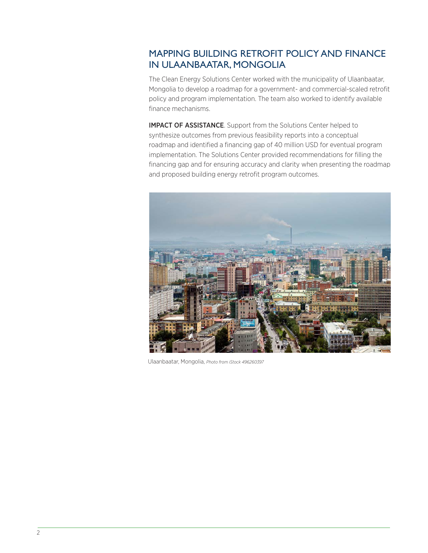## MAPPING BUILDING RETROFIT POLICY AND FINANCE IN ULAANBAATAR, MONGOLIA

The Clean Energy Solutions Center worked with the municipality of Ulaanbaatar, Mongolia to develop a roadmap for a government- and commercial-scaled retrofit policy and program implementation. The team also worked to identify available finance mechanisms.

IMPACT OF ASSISTANCE. Support from the Solutions Center helped to synthesize outcomes from previous feasibility reports into a conceptual roadmap and identified a financing gap of 40 million USD for eventual program implementation. The Solutions Center provided recommendations for filling the financing gap and for ensuring accuracy and clarity when presenting the roadmap and proposed building energy retrofit program outcomes.

![](_page_1_Picture_3.jpeg)

Ulaanbaatar, Mongolia, *Photo from iStock 496260397*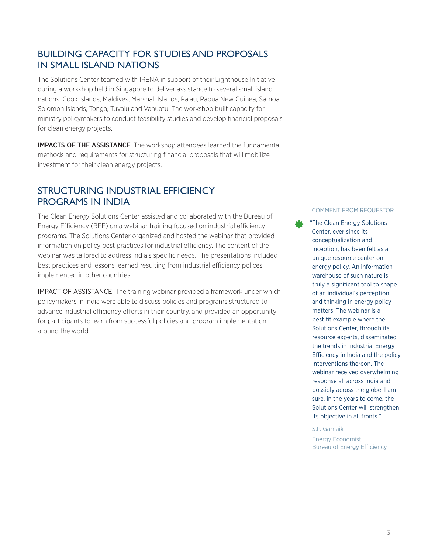## BUILDING CAPACITY FOR STUDIES AND PROPOSALS IN SMALL ISLAND NATIONS

The Solutions Center teamed with IRENA in support of their Lighthouse Initiative during a workshop held in Singapore to deliver assistance to several small island nations: Cook Islands, Maldives, Marshall Islands, Palau, Papua New Guinea, Samoa, Solomon Islands, Tonga, Tuvalu and Vanuatu. The workshop built capacity for ministry policymakers to conduct feasibility studies and develop financial proposals for clean energy projects.

IMPACTS OF THE ASSISTANCE. The workshop attendees learned the fundamental methods and requirements for structuring financial proposals that will mobilize investment for their clean energy projects.

#### STRUCTURING INDUSTRIAL EFFICIENCY PROGRAMS IN INDIA

The Clean Energy Solutions Center assisted and collaborated with the Bureau of Energy Efficiency (BEE) on a webinar training focused on industrial efficiency programs. The Solutions Center organized and hosted the webinar that provided information on policy best practices for industrial efficiency. The content of the webinar was tailored to address India's specific needs. The presentations included best practices and lessons learned resulting from industrial efficiency polices implemented in other countries.

IMPACT OF ASSISTANCE. The training webinar provided a framework under which policymakers in India were able to discuss policies and programs structured to advance industrial efficiency efforts in their country, and provided an opportunity for participants to learn from successful policies and program implementation around the world.

#### COMMENT FROM REQUESTOR

"The Clean Energy Solutions Center, ever since its conceptualization and inception, has been felt as a unique resource center on energy policy. An information warehouse of such nature is truly a significant tool to shape of an individual's perception and thinking in energy policy matters. The webinar is a best fit example where the Solutions Center, through its resource experts, disseminated the trends in Industrial Energy Efficiency in India and the policy interventions thereon. The webinar received overwhelming response all across India and possibly across the globe. I am sure, in the years to come, the Solutions Center will strengthen its objective in all fronts."

S.P. Garnaik

Energy Economist Bureau of Energy Efficiency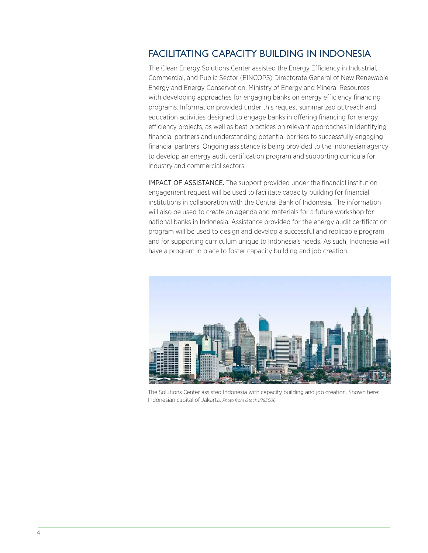## FACILITATING CAPACITY BUILDING IN INDONESIA

The Clean Energy Solutions Center assisted the Energy Efficiency in Industrial, Commercial, and Public Sector (EINCOPS) Directorate General of New Renewable Energy and Energy Conservation, Ministry of Energy and Mineral Resources with developing approaches for engaging banks on energy efficiency financing programs. Information provided under this request summarized outreach and education activities designed to engage banks in offering financing for energy efficiency projects, as well as best practices on relevant approaches in identifying financial partners and understanding potential barriers to successfully engaging financial partners. Ongoing assistance is being provided to the Indonesian agency to develop an energy audit certification program and supporting curricula for industry and commercial sectors.

IMPACT OF ASSISTANCE. The support provided under the financial institution engagement request will be used to facilitate capacity building for financial institutions in collaboration with the Central Bank of Indonesia. The information will also be used to create an agenda and materials for a future workshop for national banks in Indonesia. Assistance provided for the energy audit certification program will be used to design and develop a successful and replicable program and for supporting curriculum unique to Indonesia's needs. As such, Indonesia will have a program in place to foster capacity building and job creation.

![](_page_3_Picture_3.jpeg)

The Solutions Center assisted Indonesia with capacity building and job creation. Shown here: Indonesian capital of Jakarta. *Photo from iStock 11783006*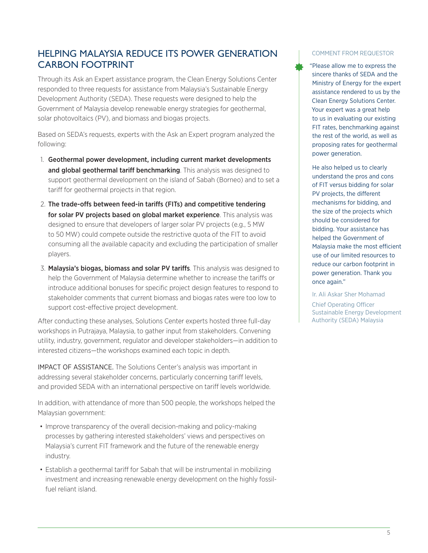## HELPING MALAYSIA REDUCE ITS POWER GENERATION CARBON FOOTPRINT

Through its Ask an Expert assistance program, the Clean Energy Solutions Center responded to three requests for assistance from Malaysia's Sustainable Energy Development Authority (SEDA). These requests were designed to help the Government of Malaysia develop renewable energy strategies for geothermal, solar photovoltaics (PV), and biomass and biogas projects.

Based on SEDA's requests, experts with the Ask an Expert program analyzed the following:

- 1. Geothermal power development, including current market developments and global geothermal tariff benchmarking. This analysis was designed to support geothermal development on the island of Sabah (Borneo) and to set a tariff for geothermal projects in that region.
- 2. The trade-offs between feed-in tariffs (FITs) and competitive tendering for solar PV projects based on global market experience. This analysis was designed to ensure that developers of larger solar PV projects (e.g., 5 MW to 50 MW) could compete outside the restrictive quota of the FIT to avoid consuming all the available capacity and excluding the participation of smaller players.
- 3. Malaysia's biogas, biomass and solar PV tariffs. This analysis was designed to help the Government of Malaysia determine whether to increase the tariffs or introduce additional bonuses for specific project design features to respond to stakeholder comments that current biomass and biogas rates were too low to support cost-effective project development.

After conducting these analyses, Solutions Center experts hosted three full-day workshops in Putrajaya, Malaysia, to gather input from stakeholders. Convening utility, industry, government, regulator and developer stakeholders—in addition to interested citizens—the workshops examined each topic in depth.

IMPACT OF ASSISTANCE. The Solutions Center's analysis was important in addressing several stakeholder concerns, particularly concerning tariff levels, and provided SEDA with an international perspective on tariff levels worldwide.

In addition, with attendance of more than 500 people, the workshops helped the Malaysian government:

- Improve transparency of the overall decision-making and policy-making processes by gathering interested stakeholders' views and perspectives on Malaysia's current FIT framework and the future of the renewable energy industry.
- Establish a geothermal tariff for Sabah that will be instrumental in mobilizing investment and increasing renewable energy development on the highly fossilfuel reliant island.

#### COMMENT FROM REQUESTOR

"Please allow me to express the sincere thanks of SEDA and the Ministry of Energy for the expert assistance rendered to us by the Clean Energy Solutions Center. Your expert was a great help to us in evaluating our existing FIT rates, benchmarking against the rest of the world, as well as proposing rates for geothermal power generation.

He also helped us to clearly understand the pros and cons of FIT versus bidding for solar PV projects, the different mechanisms for bidding, and the size of the projects which should be considered for bidding. Your assistance has helped the Government of Malaysia make the most efficient use of our limited resources to reduce our carbon footprint in power generation. Thank you once again."

Ir. Ali Askar Sher Mohamad Chief Operating Officer Sustainable Energy Development Authority (SEDA) Malaysia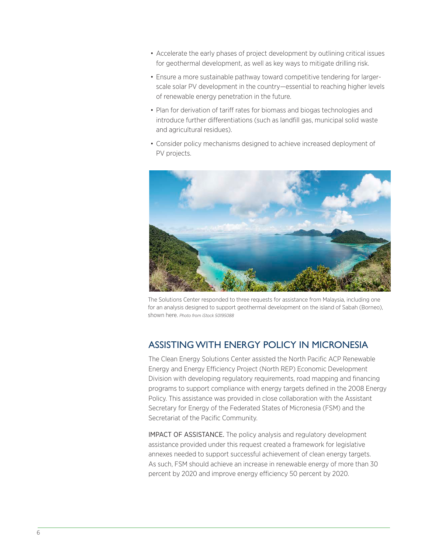- Accelerate the early phases of project development by outlining critical issues for geothermal development, as well as key ways to mitigate drilling risk.
- Ensure a more sustainable pathway toward competitive tendering for largerscale solar PV development in the country—essential to reaching higher levels of renewable energy penetration in the future.
- Plan for derivation of tariff rates for biomass and biogas technologies and introduce further differentiations (such as landfill gas, municipal solid waste and agricultural residues).
- Consider policy mechanisms designed to achieve increased deployment of PV projects.

![](_page_5_Picture_4.jpeg)

The Solutions Center responded to three requests for assistance from Malaysia, including one for an analysis designed to support geothermal development on the island of Sabah (Borneo), shown here. *Photo from iStock 50195088*

# ASSISTING WITH ENERGY POLICY IN MICRONESIA

The Clean Energy Solutions Center assisted the North Pacific ACP Renewable Energy and Energy Efficiency Project (North REP) Economic Development Division with developing regulatory requirements, road mapping and financing programs to support compliance with energy targets defined in the 2008 Energy Policy. This assistance was provided in close collaboration with the Assistant Secretary for Energy of the Federated States of Micronesia (FSM) and the Secretariat of the Pacific Community.

IMPACT OF ASSISTANCE. The policy analysis and regulatory development assistance provided under this request created a framework for legislative annexes needed to support successful achievement of clean energy targets. As such, FSM should achieve an increase in renewable energy of more than 30 percent by 2020 and improve energy efficiency 50 percent by 2020.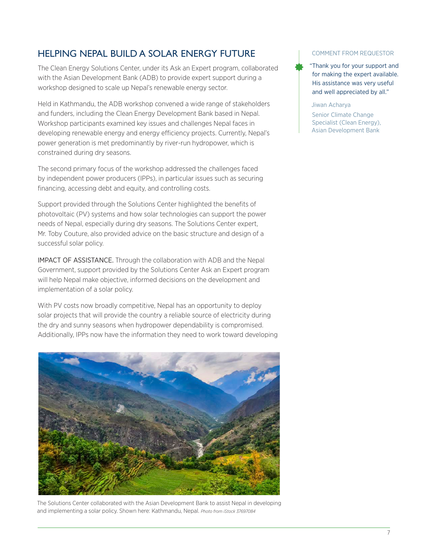# HELPING NEPAL BUILD A SOLAR ENERGY FUTURE

The Clean Energy Solutions Center, under its Ask an Expert program, collaborated with the Asian Development Bank (ADB) to provide expert support during a workshop designed to scale up Nepal's renewable energy sector.

Held in Kathmandu, the ADB workshop convened a wide range of stakeholders and funders, including the Clean Energy Development Bank based in Nepal. Workshop participants examined key issues and challenges Nepal faces in developing renewable energy and energy efficiency projects. Currently, Nepal's power generation is met predominantly by river-run hydropower, which is constrained during dry seasons.

The second primary focus of the workshop addressed the challenges faced by independent power producers (IPPs), in particular issues such as securing financing, accessing debt and equity, and controlling costs.

Support provided through the Solutions Center highlighted the benefits of photovoltaic (PV) systems and how solar technologies can support the power needs of Nepal, especially during dry seasons. The Solutions Center expert, Mr. Toby Couture, also provided advice on the basic structure and design of a successful solar policy.

IMPACT OF ASSISTANCE. Through the collaboration with ADB and the Nepal Government, support provided by the Solutions Center Ask an Expert program will help Nepal make objective, informed decisions on the development and implementation of a solar policy.

With PV costs now broadly competitive, Nepal has an opportunity to deploy solar projects that will provide the country a reliable source of electricity during the dry and sunny seasons when hydropower dependability is compromised. Additionally, IPPs now have the information they need to work toward developing

![](_page_6_Picture_7.jpeg)

The Solutions Center collaborated with the Asian Development Bank to assist Nepal in developing and implementing a solar policy. Shown here: Kathmandu, Nepal. *Photo from iStock 37697084*

#### COMMENT FROM REQUESTOR

"Thank you for your support and for making the expert available. His assistance was very useful and well appreciated by all."

Jiwan Acharya

Senior Climate Change Specialist (Clean Energy), Asian Development Bank